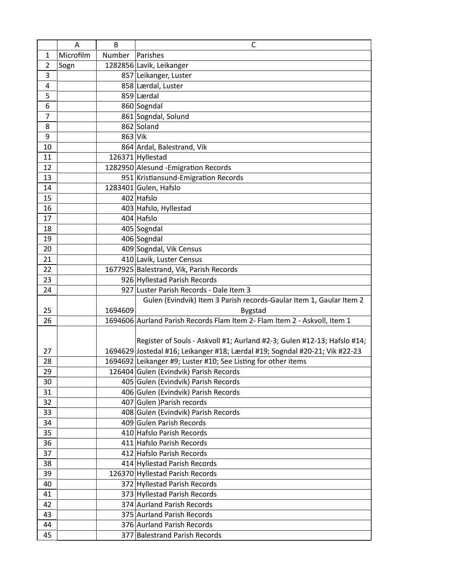|                | Α         | B             | C                                                                           |  |
|----------------|-----------|---------------|-----------------------------------------------------------------------------|--|
| 1              | Microfilm | <b>Number</b> | Parishes                                                                    |  |
| $\overline{2}$ | Sogn      |               | 1282856 Lavik, Leikanger                                                    |  |
| 3              |           |               | 857 Leikanger, Luster                                                       |  |
| 4              |           |               | 858 Lærdal, Luster                                                          |  |
| 5              |           |               | 859 Lærdal                                                                  |  |
| 6              |           |               | 860 Sogndal                                                                 |  |
| $\overline{7}$ |           |               | 861 Sogndal, Solund                                                         |  |
| 8              |           |               | 862 Soland                                                                  |  |
| 9              |           | 863 Vik       |                                                                             |  |
| 10             |           |               | 864 Ardal, Balestrand, Vik                                                  |  |
| 11             |           |               | 126371 Hyllestad                                                            |  |
| 12             |           |               | 1282950 Alesund - Emigration Records                                        |  |
| 13             |           |               | 951 Kristiansund-Emigration Records                                         |  |
| 14             |           |               | 1283401 Gulen, Hafslo                                                       |  |
| 15             |           |               | 402 Hafslo                                                                  |  |
| 16             |           |               | 403 Hafslo, Hyllestad                                                       |  |
| 17             |           |               | 404 Hafslo                                                                  |  |
| 18             |           |               | 405 Sogndal                                                                 |  |
| 19             |           |               | 406 Sogndal                                                                 |  |
| 20             |           |               | 409 Sogndal, Vik Census                                                     |  |
| 21             |           |               | 410 Lavik, Luster Census                                                    |  |
| 22             |           |               | 1677925 Balestrand, Vik, Parish Records                                     |  |
| 23             |           |               | 926 Hyllestad Parish Records                                                |  |
| 24             |           |               | 927 Luster Parish Records - Dale Item 3                                     |  |
|                |           |               | Gulen (Evindvik) Item 3 Parish records-Gaular Item 1, Gaular Item 2         |  |
| 25             |           | 1694609       | <b>Bygstad</b>                                                              |  |
| 26             |           |               | 1694606 Aurland Parish Records Flam Item 2- Flam Item 2 - Askvoll, Item 1   |  |
|                |           |               |                                                                             |  |
|                |           |               | Register of Souls - Askvoll #1; Aurland #2-3; Gulen #12-13; Hafslo #14;     |  |
| 27             |           |               | 1694629 Jostedal #16; Leikanger #18; Lærdal #19; Sogndal #20-21; Vik #22-23 |  |
| 28             |           |               | 1694692 Leikanger #9; Luster #10; See Listing for other items               |  |
| 29             |           |               | 126404 Gulen (Evindvik) Parish Records                                      |  |
| 30             |           |               | 405 Gulen (Evindvik) Parish Records<br>406 Gulen (Evindvik) Parish Records  |  |
| 31             |           |               |                                                                             |  |
| 32<br>33       |           |               | 407 Gulen ) Parish records<br>408 Gulen (Evindvik) Parish Records           |  |
| 34             |           |               | 409 Gulen Parish Records                                                    |  |
| 35             |           |               | 410 Hafslo Parish Records                                                   |  |
| 36             |           |               | 411 Hafslo Parish Records                                                   |  |
| 37             |           |               | 412 Hafslo Parish Records                                                   |  |
| 38             |           |               | 414 Hyllestad Parish Records                                                |  |
| 39             |           |               | 126370 Hyllestad Parish Records                                             |  |
| 40             |           |               | 372 Hyllestad Parish Records                                                |  |
| 41             |           |               | 373 Hyllestad Parish Records                                                |  |
| 42             |           |               | 374 Aurland Parish Records                                                  |  |
| 43             |           |               | 375 Aurland Parish Records                                                  |  |
| 44             |           |               | 376 Aurland Parish Records                                                  |  |
| 45             |           |               | 377 Balestrand Parish Records                                               |  |
|                |           |               |                                                                             |  |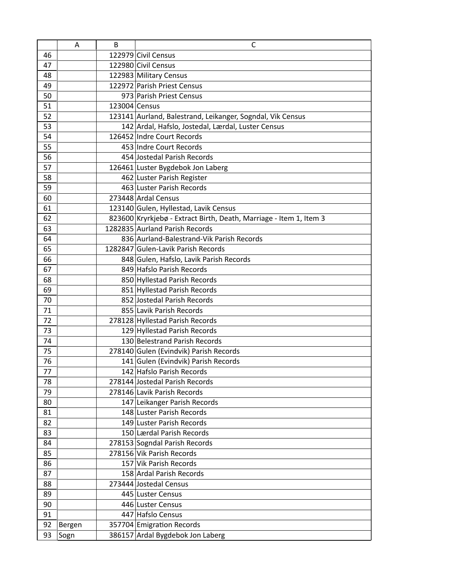|    | A      | B             | C                                                                  |  |
|----|--------|---------------|--------------------------------------------------------------------|--|
| 46 |        |               | 122979 Civil Census                                                |  |
| 47 |        |               | 122980 Civil Census                                                |  |
| 48 |        |               | 122983 Military Census                                             |  |
| 49 |        |               | 122972 Parish Priest Census                                        |  |
| 50 |        |               | 973 Parish Priest Census                                           |  |
| 51 |        | 123004 Census |                                                                    |  |
| 52 |        |               | 123141 Aurland, Balestrand, Leikanger, Sogndal, Vik Census         |  |
| 53 |        |               | 142 Ardal, Hafslo, Jostedal, Lærdal, Luster Census                 |  |
| 54 |        |               | 126452 Indre Court Records                                         |  |
| 55 |        |               | 453 Indre Court Records                                            |  |
| 56 |        |               | 454 Jostedal Parish Records                                        |  |
| 57 |        |               | 126461 Luster Bygdebok Jon Laberg                                  |  |
| 58 |        |               | 462 Luster Parish Register                                         |  |
| 59 |        |               | 463 Luster Parish Records                                          |  |
| 60 |        |               | 273448 Ardal Census                                                |  |
| 61 |        |               | 123140 Gulen, Hyllestad, Lavik Census                              |  |
| 62 |        |               | 823600 Kryrkjebø - Extract Birth, Death, Marriage - Item 1, Item 3 |  |
| 63 |        |               | 1282835 Aurland Parish Records                                     |  |
| 64 |        |               | 836 Aurland-Balestrand-Vik Parish Records                          |  |
| 65 |        |               | 1282847 Gulen-Lavik Parish Records                                 |  |
| 66 |        |               | 848 Gulen, Hafslo, Lavik Parish Records                            |  |
| 67 |        |               | 849 Hafslo Parish Records                                          |  |
| 68 |        |               | 850 Hyllestad Parish Records                                       |  |
| 69 |        |               | 851 Hyllestad Parish Records                                       |  |
| 70 |        |               | 852 Jostedal Parish Records                                        |  |
| 71 |        |               | 855 Lavik Parish Records                                           |  |
| 72 |        |               | 278128 Hyllestad Parish Records                                    |  |
| 73 |        |               | 129 Hyllestad Parish Records                                       |  |
| 74 |        |               | 130 Belestrand Parish Records                                      |  |
| 75 |        |               | 278140 Gulen (Evindvik) Parish Records                             |  |
| 76 |        |               | 141 Gulen (Evindvik) Parish Records                                |  |
| 77 |        |               | 142 Hafslo Parish Records                                          |  |
| 78 |        |               | 278144 Jostedal Parish Records                                     |  |
| 79 |        |               | 278146 Lavik Parish Records                                        |  |
| 80 |        |               | 147 Leikanger Parish Records                                       |  |
| 81 |        |               | 148 Luster Parish Records                                          |  |
| 82 |        |               | 149 Luster Parish Records                                          |  |
| 83 |        |               | 150 Lærdal Parish Records                                          |  |
| 84 |        |               | 278153 Sogndal Parish Records                                      |  |
| 85 |        |               | 278156 Vik Parish Records                                          |  |
| 86 |        |               | 157 Vik Parish Records                                             |  |
| 87 |        |               | 158 Ardal Parish Records                                           |  |
| 88 |        |               | 273444 Jostedal Census                                             |  |
| 89 |        |               | 445 Luster Census                                                  |  |
| 90 |        |               | 446 Luster Census                                                  |  |
| 91 |        |               | 447 Hafslo Census                                                  |  |
| 92 | Bergen |               | 357704 Emigration Records                                          |  |
| 93 | Sogn   |               | 386157 Ardal Bygdebok Jon Laberg                                   |  |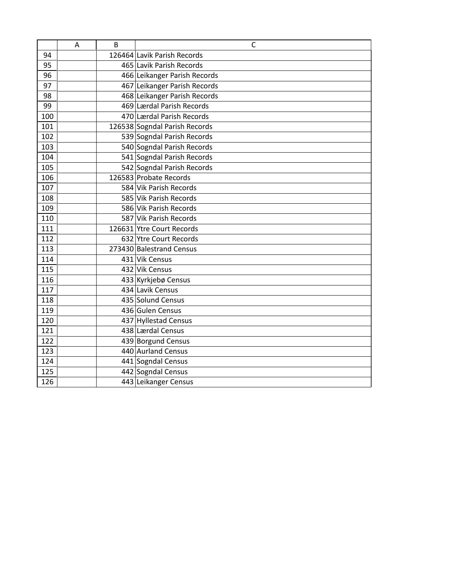|     | A | B | C                             |
|-----|---|---|-------------------------------|
| 94  |   |   | 126464 Lavik Parish Records   |
| 95  |   |   | 465 Lavik Parish Records      |
| 96  |   |   | 466 Leikanger Parish Records  |
| 97  |   |   | 467 Leikanger Parish Records  |
| 98  |   |   | 468 Leikanger Parish Records  |
| 99  |   |   | 469 Lærdal Parish Records     |
| 100 |   |   | 470 Lærdal Parish Records     |
| 101 |   |   | 126538 Sogndal Parish Records |
| 102 |   |   | 539 Sogndal Parish Records    |
| 103 |   |   | 540 Sogndal Parish Records    |
| 104 |   |   | 541 Sogndal Parish Records    |
| 105 |   |   | 542 Sogndal Parish Records    |
| 106 |   |   | 126583 Probate Records        |
| 107 |   |   | 584 Vik Parish Records        |
| 108 |   |   | 585 Vik Parish Records        |
| 109 |   |   | 586 Vik Parish Records        |
| 110 |   |   | 587 Vik Parish Records        |
| 111 |   |   | 126631 Ytre Court Records     |
| 112 |   |   | 632 Ytre Court Records        |
| 113 |   |   | 273430 Balestrand Census      |
| 114 |   |   | 431 Vik Census                |
| 115 |   |   | 432 Vik Census                |
| 116 |   |   | 433 Kyrkjebø Census           |
| 117 |   |   | 434 Lavik Census              |
| 118 |   |   | 435 Solund Census             |
| 119 |   |   | 436 Gulen Census              |
| 120 |   |   | 437 Hyllestad Census          |
| 121 |   |   | 438 Lærdal Census             |
| 122 |   |   | 439 Borgund Census            |
| 123 |   |   | 440 Aurland Census            |
| 124 |   |   | 441 Sogndal Census            |
| 125 |   |   | 442 Sogndal Census            |
| 126 |   |   | 443 Leikanger Census          |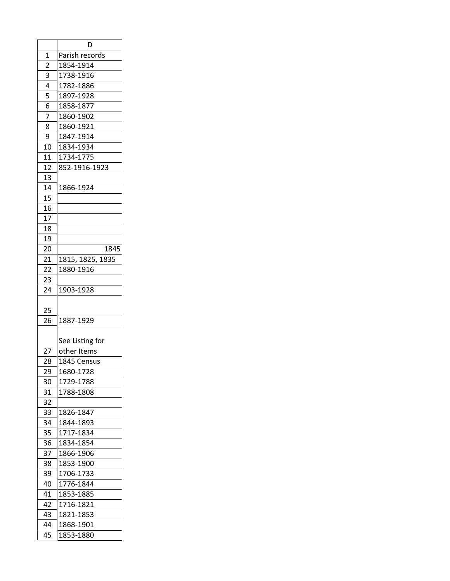|                | D                |  |  |
|----------------|------------------|--|--|
| $\overline{1}$ | Parish records   |  |  |
| $\overline{2}$ | 1854-1914        |  |  |
| 3              | 1738-1916        |  |  |
| 4              | 1782-1886        |  |  |
| 5              | 1897-1928        |  |  |
| 6              | 1858-1877        |  |  |
| $\overline{7}$ | 1860-1902        |  |  |
| 8              | 1860-1921        |  |  |
| 9              | 1847-1914        |  |  |
| 10             | 1834-1934        |  |  |
| 11             | 1734-1775        |  |  |
| 12             | 852-1916-1923    |  |  |
| 13             |                  |  |  |
| 14             | 1866-1924        |  |  |
| 15             |                  |  |  |
| 16             |                  |  |  |
| 17             |                  |  |  |
| 18             |                  |  |  |
| 19             |                  |  |  |
| 20             | 1845             |  |  |
| 21             | 1815, 1825, 1835 |  |  |
| 22             | 1880-1916        |  |  |
| 23             |                  |  |  |
| 24             | 1903-1928        |  |  |
|                |                  |  |  |
| 25             |                  |  |  |
| 26             | 1887-1929        |  |  |
|                |                  |  |  |
|                | See Listing for  |  |  |
| 27             | other Items      |  |  |
| 28             | 1845 Census      |  |  |
| 29             | 1680-1728        |  |  |
| 30             | 1729-1788        |  |  |
| 31             | 1788-1808        |  |  |
| 32             |                  |  |  |
| 33             | 1826-1847        |  |  |
| 34             | 1844-1893        |  |  |
| 35             | 1717-1834        |  |  |
| 36             | 1834-1854        |  |  |
| 37             | 1866-1906        |  |  |
| 38             | 1853-1900        |  |  |
| 39             | 1706-1733        |  |  |
| 40             | 1776-1844        |  |  |
| 41             | 1853-1885        |  |  |
| 42             | 1716-1821        |  |  |
| 43             | 1821-1853        |  |  |
| 44             | 1868-1901        |  |  |
| 45             | 1853-1880        |  |  |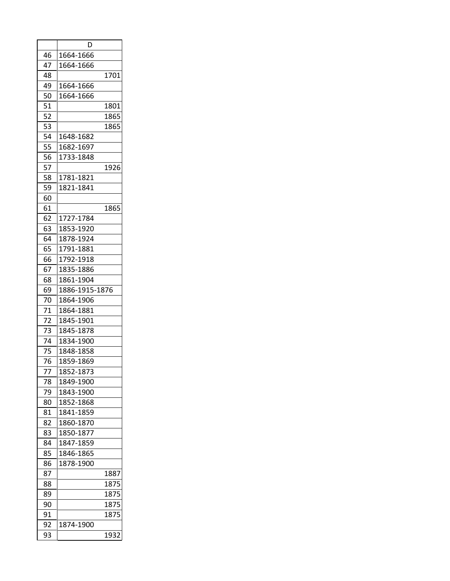|    | D              |      |
|----|----------------|------|
| 46 | 1664-1666      |      |
| 47 | 1664-1666      |      |
| 48 |                | 1701 |
| 49 | 1664-1666      |      |
| 50 | 1664-1666      |      |
| 51 |                | 1801 |
| 52 |                | 1865 |
| 53 |                | 1865 |
| 54 | 1648-1682      |      |
| 55 | 1682-1697      |      |
| 56 | 1733-1848      |      |
| 57 |                | 1926 |
| 58 | 1781-1821      |      |
| 59 | 1821-1841      |      |
| 60 |                |      |
| 61 |                | 1865 |
| 62 | 1727-1784      |      |
| 63 | 1853-1920      |      |
| 64 | 1878-1924      |      |
| 65 | 1791-1881      |      |
| 66 | 1792-1918      |      |
| 67 | 1835-1886      |      |
| 68 | 1861-1904      |      |
| 69 | 1886-1915-1876 |      |
| 70 | 1864-1906      |      |
| 71 | 1864-1881      |      |
| 72 | 1845-1901      |      |
| 73 | 1845-1878      |      |
| 74 | 1834-1900      |      |
| 75 | 1848-1858      |      |
| 76 | 1859-1869      |      |
| 77 | 1852-1873      |      |
| 78 | 1849-1900      |      |
| 79 | 1843-1900      |      |
| 80 | 1852-1868      |      |
| 81 | 1841-1859      |      |
| 82 | 1860-1870      |      |
| 83 | 1850-1877      |      |
| 84 | 1847-1859      |      |
| 85 | 1846-1865      |      |
| 86 | 1878-1900      |      |
| 87 |                | 1887 |
| 88 |                | 1875 |
| 89 |                | 1875 |
| 90 |                | 1875 |
| 91 |                | 1875 |
| 92 | 1874-1900      |      |
| 93 |                | 1932 |
|    |                |      |